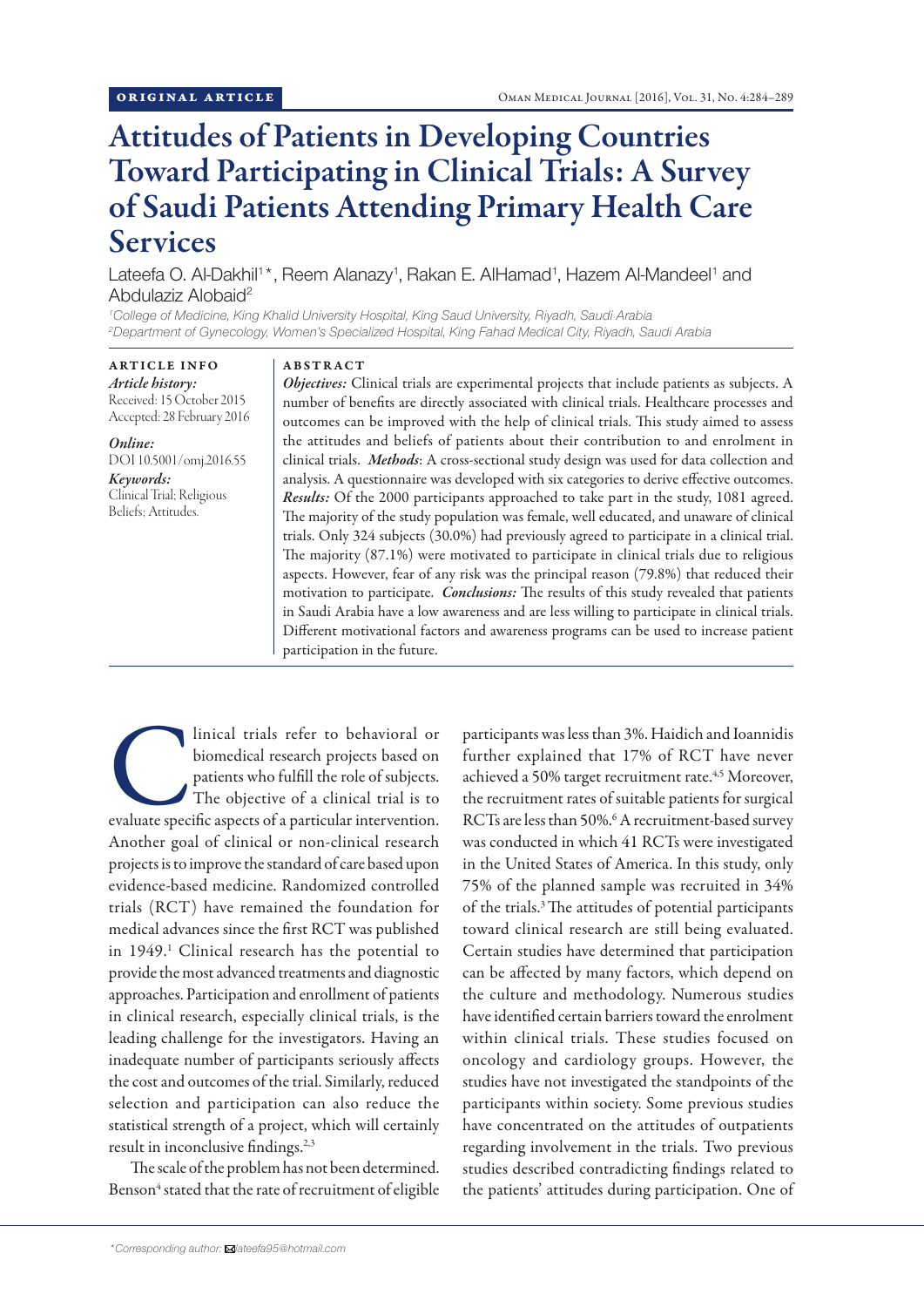# Attitudes of Patients in Developing Countries Toward Participating in Clinical Trials: A Survey of Saudi Patients Attending Primary Health Care Services

Lateefa O. Al-Dakhil<sup>1\*</sup>, Reem Alanazy<sup>1</sup>, Rakan E. AlHamad<sup>1</sup>, Hazem Al-Mandeel<sup>1</sup> and Abdulaziz Alobaid<sup>2</sup>

*<sup>1</sup>College of Medicine, King Khalid University Hospital, King Saud University, Riyadh, Saudi Arabia <sup>2</sup>Department of Gynecology, Women's Specialized Hospital, King Fahad Medical City, Riyadh, Saudi Arabia*

ARTICLE INFO *Article history:* Received: 15 October 2015 Accepted: 28 February 2016

*Online:* DOI 10.5001/omj.2016.55 *Keywords:*

Clinical Trial; Religious Beliefs; Attitudes.

#### ABSTRACT

*Objectives:* Clinical trials are experimental projects that include patients as subjects. A number of benefits are directly associated with clinical trials. Healthcare processes and outcomes can be improved with the help of clinical trials. This study aimed to assess the attitudes and beliefs of patients about their contribution to and enrolment in clinical trials. *Methods*: A cross-sectional study design was used for data collection and analysis. A questionnaire was developed with six categories to derive effective outcomes. *Results:* Of the 2000 participants approached to take part in the study, 1081 agreed. The majority of the study population was female, well educated, and unaware of clinical trials. Only 324 subjects (30.0%) had previously agreed to participate in a clinical trial. The majority (87.1%) were motivated to participate in clinical trials due to religious aspects. However, fear of any risk was the principal reason (79.8%) that reduced their motivation to participate. *Conclusions:* The results of this study revealed that patients in Saudi Arabia have a low awareness and are less willing to participate in clinical trials. Different motivational factors and awareness programs can be used to increase patient participation in the future.

Inical trials refer to behavioral or<br>
biomedical research projects based on<br>
patients who fulfill the role of subjects.<br>
The objective of a clinical trial is to<br>
evaluate specific aspects of a particular intervention. biomedical research projects based on patients who fulfill the role of subjects. The objective of a clinical trial is to Another goal of clinical or non-clinical research projects is to improve the standard of care based upon evidence-based medicine. Randomized controlled trials (RCT) have remained the foundation for medical advances since the first RCT was published in 1949.1 Clinical research has the potential to provide the most advanced treatments and diagnostic approaches. Participation and enrollment of patients in clinical research, especially clinical trials, is the leading challenge for the investigators. Having an inadequate number of participants seriously affects the cost and outcomes of the trial. Similarly, reduced selection and participation can also reduce the statistical strength of a project, which will certainly result in inconclusive findings.<sup>2,3</sup>

The scale of the problem has not been determined. Benson<sup>4</sup> stated that the rate of recruitment of eligible participants was less than 3%. Haidich and Ioannidis further explained that 17% of RCT have never achieved a 50% target recruitment rate.<sup>4,5</sup> Moreover, the recruitment rates of suitable patients for surgical RCTs are less than 50%.<sup>6</sup> A recruitment-based survey was conducted in which 41 RCTs were investigated in the United States of America. In this study, only 75% of the planned sample was recruited in 34% of the trials.3 The attitudes of potential participants toward clinical research are still being evaluated. Certain studies have determined that participation can be affected by many factors, which depend on the culture and methodology. Numerous studies have identified certain barriers toward the enrolment within clinical trials. These studies focused on oncology and cardiology groups. However, the studies have not investigated the standpoints of the participants within society. Some previous studies have concentrated on the attitudes of outpatients regarding involvement in the trials. Two previous studies described contradicting findings related to the patients' attitudes during participation. One of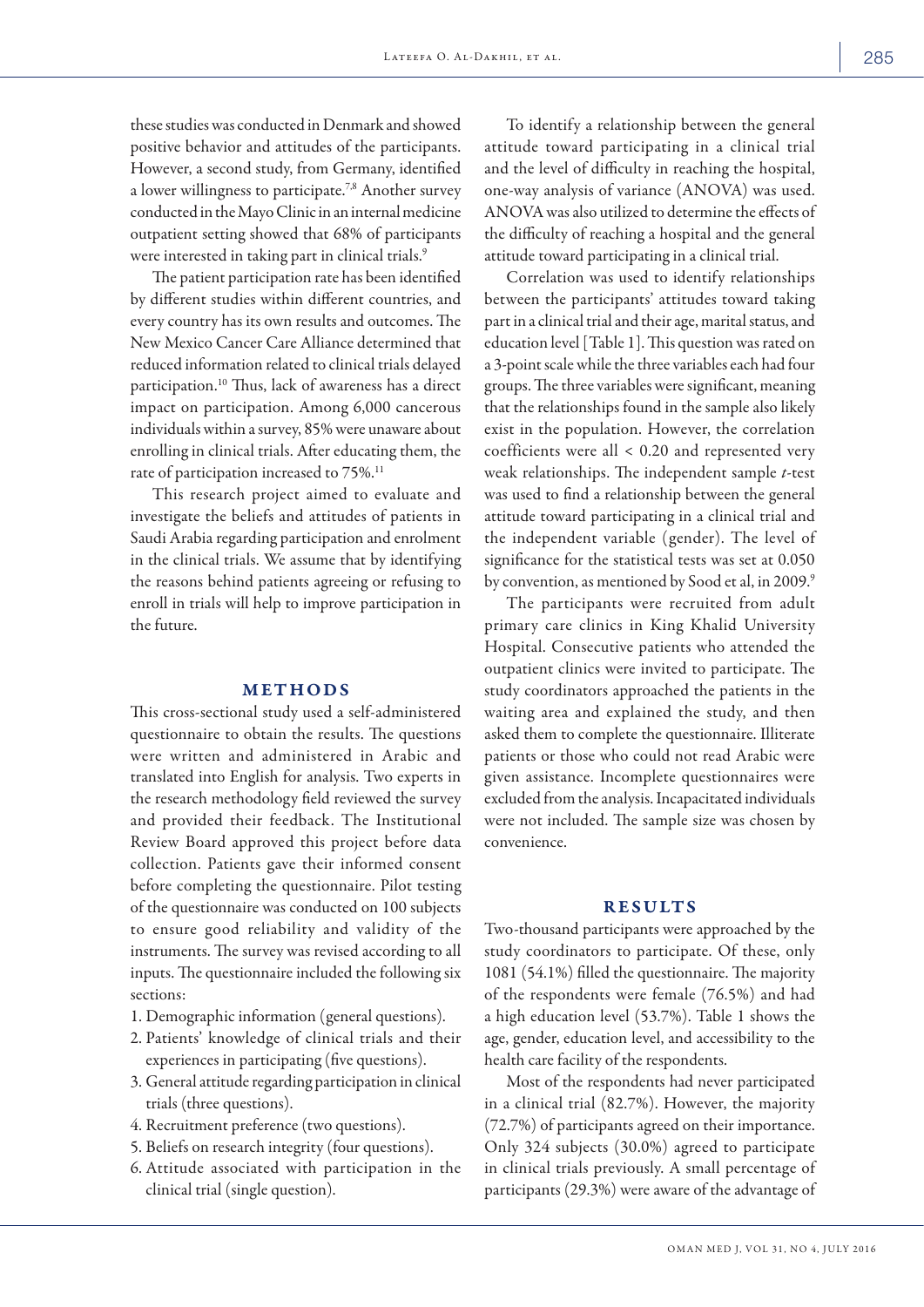these studies was conducted in Denmark and showed positive behavior and attitudes of the participants. However, a second study, from Germany, identified a lower willingness to participate.7,8 Another survey conducted in the Mayo Clinic in an internal medicine outpatient setting showed that 68% of participants were interested in taking part in clinical trials.<sup>9</sup>

The patient participation rate has been identified by different studies within different countries, and every country has its own results and outcomes. The New Mexico Cancer Care Alliance determined that reduced information related to clinical trials delayed participation.10 Thus, lack of awareness has a direct impact on participation. Among 6,000 cancerous individuals within a survey, 85% were unaware about enrolling in clinical trials. After educating them, the rate of participation increased to 75%.<sup>11</sup>

This research project aimed to evaluate and investigate the beliefs and attitudes of patients in Saudi Arabia regarding participation and enrolment in the clinical trials. We assume that by identifying the reasons behind patients agreeing or refusing to enroll in trials will help to improve participation in the future.

## METHODS

This cross-sectional study used a self-administered questionnaire to obtain the results. The questions were written and administered in Arabic and translated into English for analysis. Two experts in the research methodology field reviewed the survey and provided their feedback. The Institutional Review Board approved this project before data collection. Patients gave their informed consent before completing the questionnaire. Pilot testing of the questionnaire was conducted on 100 subjects to ensure good reliability and validity of the instruments. The survey was revised according to all inputs. The questionnaire included the following six sections:

- 1. Demographic information (general questions).
- 2. Patients' knowledge of clinical trials and their experiences in participating (five questions).
- 3. General attitude regarding participation in clinical trials (three questions).
- 4. Recruitment preference (two questions).
- 5. Beliefs on research integrity (four questions).
- 6. Attitude associated with participation in the clinical trial (single question).

To identify a relationship between the general attitude toward participating in a clinical trial and the level of difficulty in reaching the hospital, one-way analysis of variance (ANOVA) was used. ANOVA was also utilized to determine the effects of the difficulty of reaching a hospital and the general attitude toward participating in a clinical trial.

Correlation was used to identify relationships between the participants' attitudes toward taking part in a clinical trial and their age, marital status, and education level [Table 1]. This question was rated on a 3-point scale while the three variables each had four groups. The three variables were significant, meaning that the relationships found in the sample also likely exist in the population. However, the correlation coefficients were all < 0.20 and represented very weak relationships. The independent sample *t*-test was used to find a relationship between the general attitude toward participating in a clinical trial and the independent variable (gender). The level of significance for the statistical tests was set at 0.050 by convention, as mentioned by Sood et al, in 2009.9

The participants were recruited from adult primary care clinics in King Khalid University Hospital. Consecutive patients who attended the outpatient clinics were invited to participate. The study coordinators approached the patients in the waiting area and explained the study, and then asked them to complete the questionnaire. Illiterate patients or those who could not read Arabic were given assistance. Incomplete questionnaires were excluded from the analysis. Incapacitated individuals were not included. The sample size was chosen by convenience.

### RESULTS

Two-thousand participants were approached by the study coordinators to participate. Of these, only 1081 (54.1%) filled the questionnaire. The majority of the respondents were female (76.5%) and had a high education level (53.7%). Table 1 shows the age, gender, education level, and accessibility to the health care facility of the respondents.

Most of the respondents had never participated in a clinical trial (82.7%). However, the majority (72.7%) of participants agreed on their importance. Only 324 subjects (30.0%) agreed to participate in clinical trials previously. A small percentage of participants (29.3%) were aware of the advantage of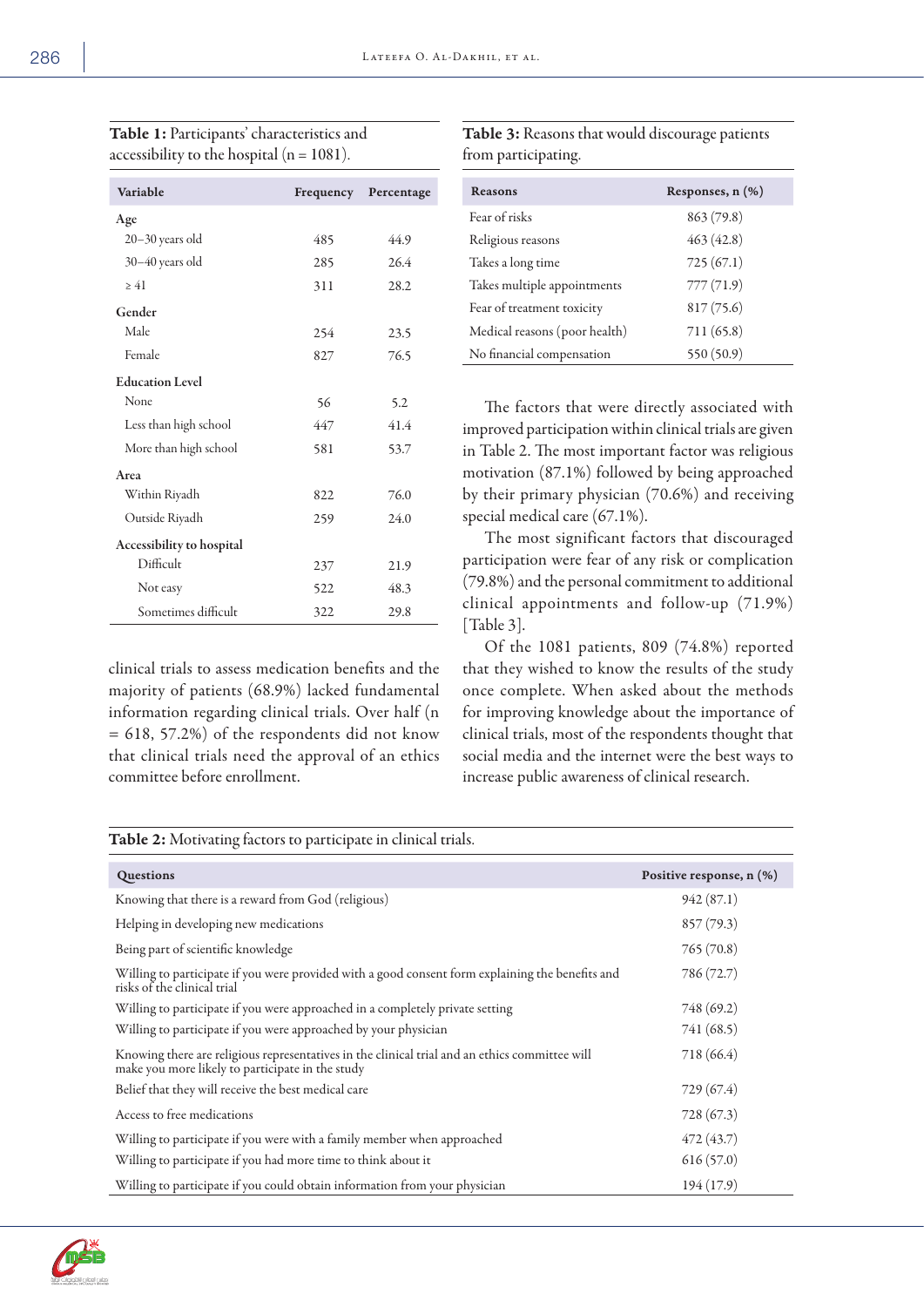| Variable                  | Frequency | Percentage |
|---------------------------|-----------|------------|
| Age                       |           |            |
| $20 - 30$ years old       | 485       | 44.9       |
| $30 - 40$ years old       | 285       | 26.4       |
| $\geq 41$                 | 311       | 28.2       |
| Gender                    |           |            |
| Male                      | 254       | 23.5       |
| Female                    | 827       | 76.5       |
| <b>Education Level</b>    |           |            |
| None                      | 56        | 5.2        |
| Less than high school     | 447       | 41.4       |
| More than high school     | 581       | 53.7       |
| Area                      |           |            |
| Within Riyadh             | 822       | 76.0       |
| Outside Riyadh            | 259       | 24.0       |
| Accessibility to hospital |           |            |
| Difficult                 | 237       | 21.9       |
| Not easy                  | 522       | 48.3       |
| Sometimes difficult       | 322       | 29.8       |

Table 1: Participants' characteristics and accessibility to the hospital  $(n = 1081)$ .

clinical trials to assess medication benefits and the majority of patients (68.9%) lacked fundamental information regarding clinical trials. Over half (n = 618, 57.2%) of the respondents did not know that clinical trials need the approval of an ethics committee before enrollment.

Table 3: Reasons that would discourage patients from participating.

| Reasons                       | Responses, $n$ $(\%)$ |
|-------------------------------|-----------------------|
| Fear of risks                 | 863 (79.8)            |
| Religious reasons             | 463(42.8)             |
| Takes a long time             | 725(67.1)             |
| Takes multiple appointments   | 777(71.9)             |
| Fear of treatment toxicity    | 817(75.6)             |
| Medical reasons (poor health) | 711(65.8)             |
| No financial compensation     | 550 (50.9)            |

The factors that were directly associated with improved participation within clinical trials are given in Table 2. The most important factor was religious motivation (87.1%) followed by being approached by their primary physician (70.6%) and receiving special medical care (67.1%).

The most significant factors that discouraged participation were fear of any risk or complication (79.8%) and the personal commitment to additional clinical appointments and follow-up (71.9%) [Table 3].

Of the 1081 patients, 809 (74.8%) reported that they wished to know the results of the study once complete. When asked about the methods for improving knowledge about the importance of clinical trials, most of the respondents thought that social media and the internet were the best ways to increase public awareness of clinical research.

| Table 2: Motivating factors to participate in clinical trials.                                                                                     |                          |  |  |
|----------------------------------------------------------------------------------------------------------------------------------------------------|--------------------------|--|--|
| Questions                                                                                                                                          | Positive response, n (%) |  |  |
| Knowing that there is a reward from God (religious)                                                                                                | 942(87.1)                |  |  |
| Helping in developing new medications                                                                                                              | 857(79.3)                |  |  |
| Being part of scientific knowledge                                                                                                                 | 765(70.8)                |  |  |
| Willing to participate if you were provided with a good consent form explaining the benefits and<br>risks of the clinical trial                    | 786 (72.7)               |  |  |
| Willing to participate if you were approached in a completely private setting                                                                      | 748 (69.2)               |  |  |
| Willing to participate if you were approached by your physician                                                                                    | 741 (68.5)               |  |  |
| Knowing there are religious representatives in the clinical trial and an ethics committee will<br>make you more likely to participate in the study | 718 (66.4)               |  |  |
| Belief that they will receive the best medical care                                                                                                | 729 (67.4)               |  |  |
| Access to free medications                                                                                                                         | 728 (67.3)               |  |  |
| Willing to participate if you were with a family member when approached                                                                            | 472 (43.7)               |  |  |
| Willing to participate if you had more time to think about it                                                                                      | 616(57.0)                |  |  |
| Willing to participate if you could obtain information from your physician                                                                         | 194 (17.9)               |  |  |

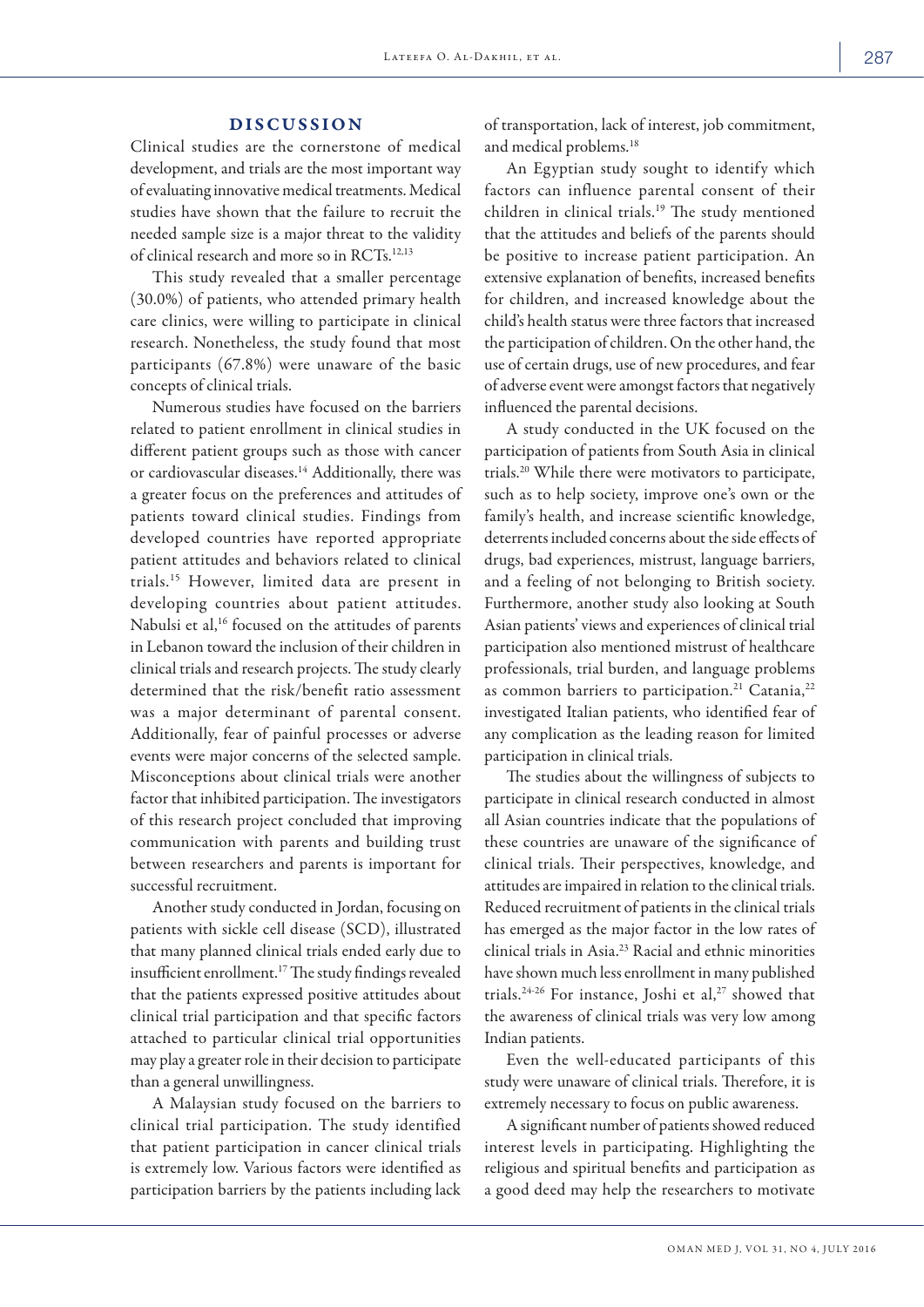## DISCUSSION

Clinical studies are the cornerstone of medical development, and trials are the most important way of evaluating innovative medical treatments. Medical studies have shown that the failure to recruit the needed sample size is a major threat to the validity of clinical research and more so in RCTs.12,13

This study revealed that a smaller percentage (30.0%) of patients, who attended primary health care clinics, were willing to participate in clinical research. Nonetheless, the study found that most participants (67.8%) were unaware of the basic concepts of clinical trials.

Numerous studies have focused on the barriers related to patient enrollment in clinical studies in different patient groups such as those with cancer or cardiovascular diseases.<sup>14</sup> Additionally, there was a greater focus on the preferences and attitudes of patients toward clinical studies. Findings from developed countries have reported appropriate patient attitudes and behaviors related to clinical trials.15 However, limited data are present in developing countries about patient attitudes. Nabulsi et al,<sup>16</sup> focused on the attitudes of parents in Lebanon toward the inclusion of their children in clinical trials and research projects. The study clearly determined that the risk/benefit ratio assessment was a major determinant of parental consent. Additionally, fear of painful processes or adverse events were major concerns of the selected sample. Misconceptions about clinical trials were another factor that inhibited participation. The investigators of this research project concluded that improving communication with parents and building trust between researchers and parents is important for successful recruitment.

Another study conducted in Jordan, focusing on patients with sickle cell disease (SCD), illustrated that many planned clinical trials ended early due to insufficient enrollment.17 The study findings revealed that the patients expressed positive attitudes about clinical trial participation and that specific factors attached to particular clinical trial opportunities may play a greater role in their decision to participate than a general unwillingness.

A Malaysian study focused on the barriers to clinical trial participation. The study identified that patient participation in cancer clinical trials is extremely low. Various factors were identified as participation barriers by the patients including lack of transportation, lack of interest, job commitment, and medical problems.18

An Egyptian study sought to identify which factors can influence parental consent of their children in clinical trials.19 The study mentioned that the attitudes and beliefs of the parents should be positive to increase patient participation. An extensive explanation of benefits, increased benefits for children, and increased knowledge about the child's health status were three factors that increased the participation of children. On the other hand, the use of certain drugs, use of new procedures, and fear of adverse event were amongst factors that negatively influenced the parental decisions.

A study conducted in the UK focused on the participation of patients from South Asia in clinical trials.20 While there were motivators to participate, such as to help society, improve one's own or the family's health, and increase scientific knowledge, deterrents included concerns about the side effects of drugs, bad experiences, mistrust, language barriers, and a feeling of not belonging to British society. Furthermore, another study also looking at South Asian patients' views and experiences of clinical trial participation also mentioned mistrust of healthcare professionals, trial burden, and language problems as common barriers to participation.<sup>21</sup> Catania,<sup>22</sup> investigated Italian patients, who identified fear of any complication as the leading reason for limited participation in clinical trials.

The studies about the willingness of subjects to participate in clinical research conducted in almost all Asian countries indicate that the populations of these countries are unaware of the significance of clinical trials. Their perspectives, knowledge, and attitudes are impaired in relation to the clinical trials. Reduced recruitment of patients in the clinical trials has emerged as the major factor in the low rates of clinical trials in Asia.23 Racial and ethnic minorities have shown much less enrollment in many published trials.<sup>24-26</sup> For instance, Joshi et al,<sup>27</sup> showed that the awareness of clinical trials was very low among Indian patients.

Even the well-educated participants of this study were unaware of clinical trials. Therefore, it is extremely necessary to focus on public awareness.

A significant number of patients showed reduced interest levels in participating. Highlighting the religious and spiritual benefits and participation as a good deed may help the researchers to motivate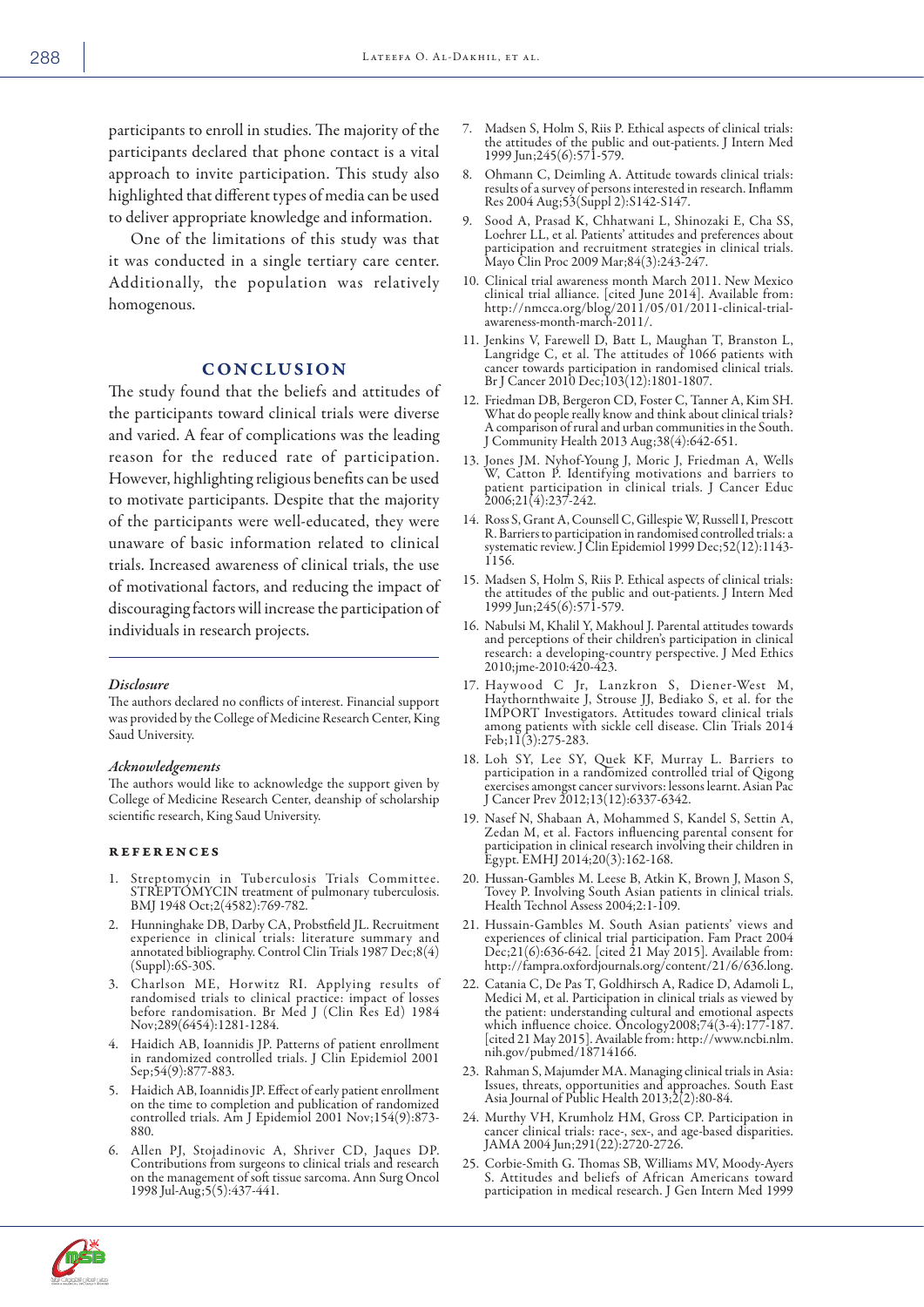participants to enroll in studies. The majority of the participants declared that phone contact is a vital approach to invite participation. This study also highlighted that different types of media can be used to deliver appropriate knowledge and information.

One of the limitations of this study was that it was conducted in a single tertiary care center. Additionally, the population was relatively homogenous.

# **CONCLUSION**

The study found that the beliefs and attitudes of the participants toward clinical trials were diverse and varied. A fear of complications was the leading reason for the reduced rate of participation. However, highlighting religious benefits can be used to motivate participants. Despite that the majority of the participants were well-educated, they were unaware of basic information related to clinical trials. Increased awareness of clinical trials, the use of motivational factors, and reducing the impact of discouraging factors will increase the participation of individuals in research projects.

#### *Disclosure*

The authors declared no conflicts of interest. Financial support was provided by the College of Medicine Research Center, King Saud University.

#### *Acknowledgements*

The authors would like to acknowledge the support given by College of Medicine Research Center, deanship of scholarship scientific research, King Saud University.

#### references

- 1. Streptomycin in Tuberculosis Trials Committee. STREPTOMYCIN treatment of pulmonary tuberculosis. BMJ 1948 Oct;2(4582):769-782.
- 2. Hunninghake DB, Darby CA, Probstfield JL. Recruitment experience in clinical trials: literature summary and annotated bibliography. Control Clin Trials 1987 Dec;8(4) (Suppl):6S-30S.
- 3. Charlson ME, Horwitz RI. Applying results of randomised trials to clinical practice: impact of losses before randomisation. Br Med J (Clin Res Ed) 1984 Nov;289(6454):1281-1284.
- 4. Haidich AB, Ioannidis JP. Patterns of patient enrollment in randomized controlled trials. J Clin Epidemiol 2001 Sep;54(9):877-883.
- 5. Haidich AB, Ioannidis JP. Effect of early patient enrollment on the time to completion and publication of randomized controlled trials. Am J Epidemiol 2001 Nov;154(9):873- 880.
- 6. Allen PJ, Stojadinovic A, Shriver CD, Jaques DP. Contributions from surgeons to clinical trials and research on the management of soft tissue sarcoma. Ann Surg Oncol 1998 Jul-Aug;5(5):437-441.
- 7. Madsen S, Holm S, Riis P. Ethical aspects of clinical trials: the attitudes of the public and out-patients. J Intern Med 1999 Jun;245(6):571-579.
- 8. Ohmann C, Deimling A. Attitude towards clinical trials: results of a survey of persons interested in research. Inflamm Res 2004 Aug;53(Suppl 2):S142-S147.
- Sood A, Prasad K, Chhatwani L, Shinozaki E, Cha SS, Loehrer LL, et al. Patients' attitudes and preferences about participation and recruitment strategies in clinical trials. Mayo Clin Proc 2009 Mar;84(3):243-247.
- 10. Clinical trial awareness month March 2011. New Mexico clinical trial alliance. [cited June 2014]. Available from: http://nmcca.org/blog/2011/05/01/2011-clinical-trialawareness-month-march-2011/.
- 11. Jenkins V, Farewell D, Batt L, Maughan T, Branston L, Langridge C, et al. The attitudes of 1066 patients with cancer towards participation in randomised clinical trials. Br J Cancer 2010 Dec;103(12):1801-1807.
- 12. Friedman DB, Bergeron CD, Foster C, Tanner A, Kim SH. What do people really know and think about clinical trials? A comparison of rural and urban communities in the South. J Community Health 2013 Aug;38(4):642-651.
- 13. Jones JM. Nyhof-Young J, Moric J, Friedman A, Wells W, Catton P. Identifying motivations and barriers to patient participation in clinical trials. J Cancer Educ 2006;21(4):237-242.
- 14. Ross S, Grant A, Counsell C, Gillespie W, Russell I, Prescott R. Barriers to participation in randomised controlled trials: a systematic review. J Clin Epidemiol 1999 Dec;52(12):1143- 1156.
- 15. Madsen S, Holm S, Riis P. Ethical aspects of clinical trials: the attitudes of the public and out-patients. J Intern Med 1999 Jun;245(6):571-579.
- 16. Nabulsi M, Khalil Y, Makhoul J. Parental attitudes towards and perceptions of their children's participation in clinical research: a developing-country perspective. J Med Ethics 2010;jme-2010:420-423.
- 17. Haywood C Jr, Lanzkron S, Diener-West M, Haythornthwaite J, Strouse JJ, Bediako S, et al. for the IMPORT Investigators. Attitudes toward clinical trials among patients with sickle cell disease. Clin Trials 2014 Feb;11(3):275-283.
- 18. Loh SY, Lee SY, Quek KF, Murray L. Barriers to participation in a randomized controlled trial of Qigong exercises amongst cancer survivors: lessons learnt. Asian Pac J Cancer Prev 2012;13(12):6337-6342.
- 19. Nasef N, Shabaan A, Mohammed S, Kandel S, Settin A, Zedan M, et al. Factors influencing parental consent for participation in clinical research involving their children in Egypt. EMHJ 2014;20(3):162-168.
- 20. Hussan-Gambles M. Leese B, Atkin K, Brown J, Mason S, Tovey P. Involving South Asian patients in clinical trials. Health Technol Assess 2004;2:1-109.
- 21. Hussain-Gambles M. South Asian patients' views and experiences of clinical trial participation. Fam Pract 2004 Dec;21(6):636-642. [cited 21 May 2015]. Available from: http://fampra.oxfordjournals.org/content/21/6/636.long.
- 22. Catania C, De Pas T, Goldhirsch A, Radice D, Adamoli L, Medici M, et al. Participation in clinical trials as viewed by the patient: understanding cultural and emotional aspects which influence choice. Oncology2008;74(3-4):177-187. [cited 21 May 2015]. Available from: http://www.ncbi.nlm. nih.gov/pubmed/18714166.
- 23. Rahman S, Majumder MA. Managing clinical trials in Asia: Issues, threats, opportunities and approaches. South East Asia Journal of Public Health 2013;2(2):80-84.
- 24. Murthy VH, Krumholz HM, Gross CP. Participation in cancer clinical trials: race-, sex-, and age-based disparities. JAMA 2004 Jun;291(22):2720-2726.
- 25. Corbie-Smith G. Thomas SB, Williams MV, Moody-Ayers S. Attitudes and beliefs of African Americans toward participation in medical research. J Gen Intern Med 1999